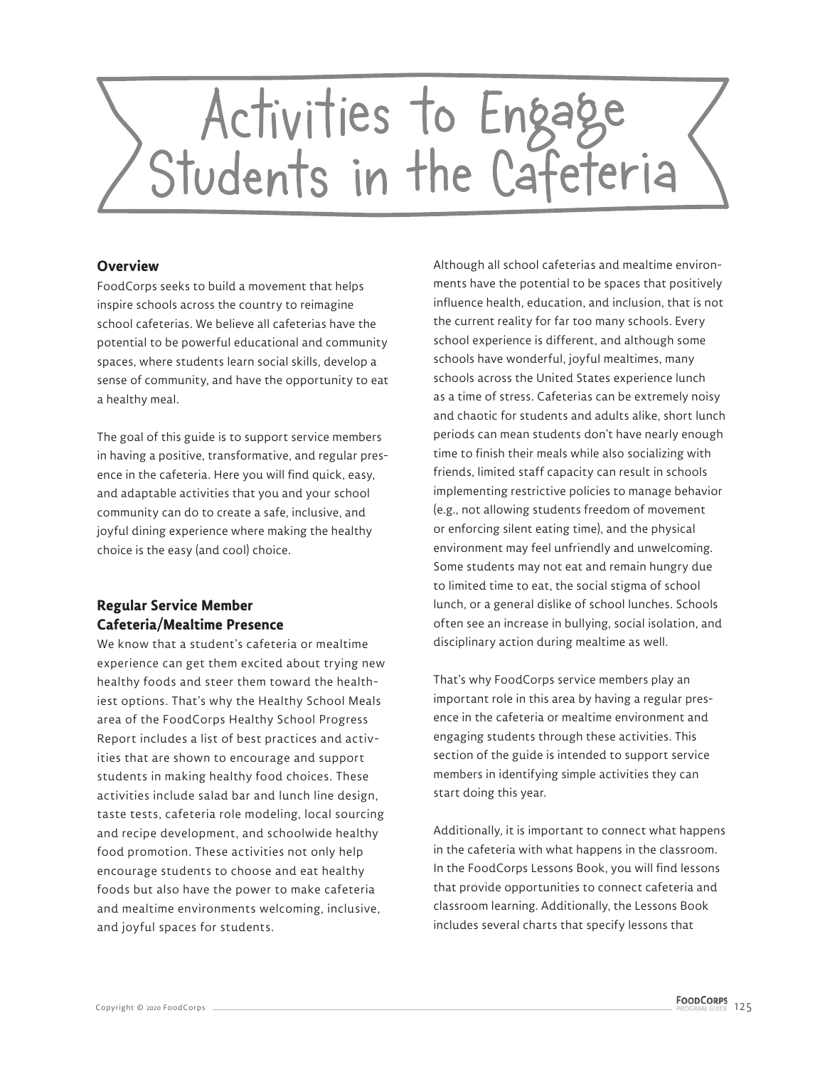

### **Overview**

FoodCorps seeks to build a movement that helps inspire schools across the country to reimagine school cafeterias. We believe all cafeterias have the potential to be powerful educational and community spaces, where students learn social skills, develop a sense of community, and have the opportunity to eat a healthy meal.

The goal of this guide is to support service members in having a positive, transformative, and regular presence in the cafeteria. Here you will find quick, easy, and adaptable activities that you and your school community can do to create a safe, inclusive, and joyful dining experience where making the healthy choice is the easy (and cool) choice.

# **Regular Service Member Cafeteria/Mealtime Presence**

We know that a student's cafeteria or mealtime experience can get them excited about trying new healthy foods and steer them toward the healthiest options. That's why the Healthy School Meals area of the FoodCorps Healthy School Progress Report includes a list of best practices and activities that are shown to encourage and support students in making healthy food choices. These activities include salad bar and lunch line design, taste tests, cafeteria role modeling, local sourcing and recipe development, and schoolwide healthy food promotion. These activities not only help encourage students to choose and eat healthy foods but also have the power to make cafeteria and mealtime environments welcoming, inclusive, and joyful spaces for students.

Although all school cafeterias and mealtime environments have the potential to be spaces that positively influence health, education, and inclusion, that is not the current reality for far too many schools. Every school experience is different, and although some schools have wonderful, joyful mealtimes, many schools across the United States experience lunch as a time of stress. Cafeterias can be extremely noisy and chaotic for students and adults alike, short lunch periods can mean students don't have nearly enough time to finish their meals while also socializing with friends, limited staff capacity can result in schools implementing restrictive policies to manage behavior (e.g., not allowing students freedom of movement or enforcing silent eating time), and the physical environment may feel unfriendly and unwelcoming. Some students may not eat and remain hungry due to limited time to eat, the social stigma of school lunch, or a general dislike of school lunches. Schools often see an increase in bullying, social isolation, and disciplinary action during mealtime as well.

That's why FoodCorps service members play an important role in this area by having a regular presence in the cafeteria or mealtime environment and engaging students through these activities. This section of the guide is intended to support service members in identifying simple activities they can start doing this year.

Additionally, it is important to connect what happens in the cafeteria with what happens in the classroom. In the FoodCorps Lessons Book, you will find lessons that provide opportunities to connect cafeteria and classroom learning. Additionally, the Lessons Book includes several charts that specify lessons that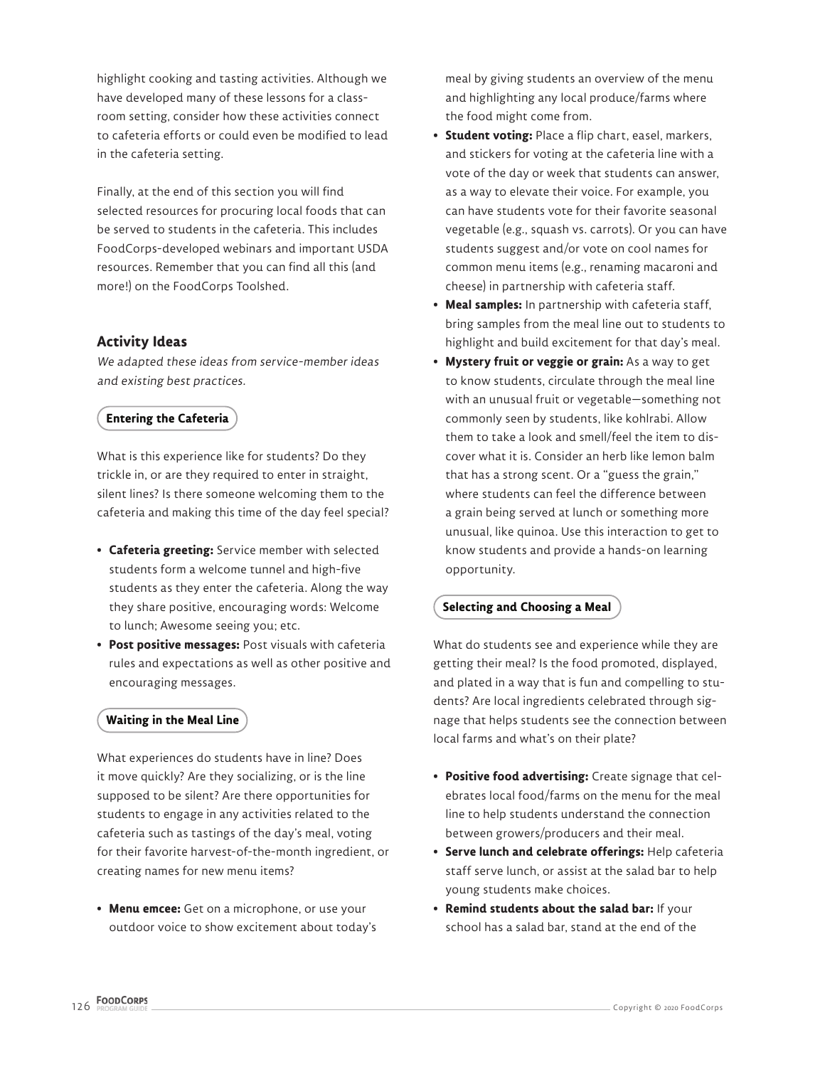highlight cooking and tasting activities. Although we have developed many of these lessons for a classroom setting, consider how these activities connect to cafeteria efforts or could even be modified to lead in the cafeteria setting.

Finally, at the end of this section you will find selected resources for procuring local foods that can be served to students in the cafeteria. This includes FoodCorps-developed webinars and important USDA resources. Remember that you can find all this (and more!) on the FoodCorps Toolshed.

#### **Activity Ideas**

We adapted these ideas from service-member ideas and existing best practices.

#### **Entering the Cafeteria**

What is this experience like for students? Do they trickle in, or are they required to enter in straight, silent lines? Is there someone welcoming them to the cafeteria and making this time of the day feel special?

- **Cafeteria greeting:** Service member with selected students form a welcome tunnel and high-five students as they enter the cafeteria. Along the way they share positive, encouraging words: Welcome to lunch; Awesome seeing you; etc.
- **Post positive messages:** Post visuals with cafeteria rules and expectations as well as other positive and encouraging messages.

#### **Waiting in the Meal Line**

What experiences do students have in line? Does it move quickly? Are they socializing, or is the line supposed to be silent? Are there opportunities for students to engage in any activities related to the cafeteria such as tastings of the day's meal, voting for their favorite harvest-of-the-month ingredient, or creating names for new menu items?

**• Menu emcee:** Get on a microphone, or use your outdoor voice to show excitement about today's meal by giving students an overview of the menu and highlighting any local produce/farms where the food might come from.

- **Student voting:** Place a flip chart, easel, markers, and stickers for voting at the cafeteria line with a vote of the day or week that students can answer, as a way to elevate their voice. For example, you can have students vote for their favorite seasonal vegetable (e.g., squash vs. carrots). Or you can have students suggest and/or vote on cool names for common menu items (e.g., renaming macaroni and cheese) in partnership with cafeteria staff.
- **Meal samples:** In partnership with cafeteria staff, bring samples from the meal line out to students to highlight and build excitement for that day's meal.
- **Mystery fruit or veggie or grain:** As a way to get to know students, circulate through the meal line with an unusual fruit or vegetable—something not commonly seen by students, like kohlrabi. Allow them to take a look and smell/feel the item to discover what it is. Consider an herb like lemon balm that has a strong scent. Or a "guess the grain," where students can feel the difference between a grain being served at lunch or something more unusual, like quinoa. Use this interaction to get to know students and provide a hands-on learning opportunity.

## **Selecting and Choosing a Meal**

What do students see and experience while they are getting their meal? Is the food promoted, displayed, and plated in a way that is fun and compelling to students? Are local ingredients celebrated through signage that helps students see the connection between local farms and what's on their plate?

- **Positive food advertising:** Create signage that celebrates local food/farms on the menu for the meal line to help students understand the connection between growers/producers and their meal.
- **Serve lunch and celebrate offerings:** Help cafeteria staff serve lunch, or assist at the salad bar to help young students make choices.
- **Remind students about the salad bar:** If your school has a salad bar, stand at the end of the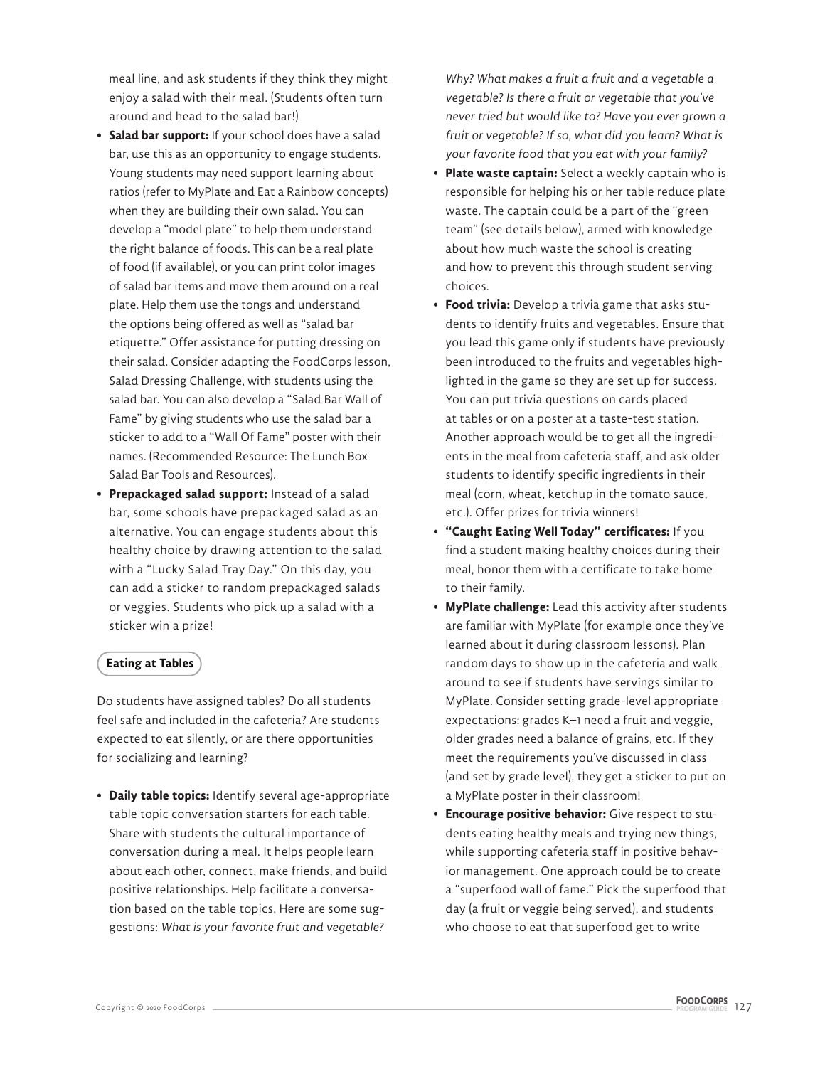meal line, and ask students if they think they might enjoy a salad with their meal. (Students often turn around and head to the salad bar!)

- **Salad bar support:** If your school does have a salad bar, use this as an opportunity to engage students. Young students may need support learning about ratios (refer to MyPlate and Eat a Rainbow concepts) when they are building their own salad. You can develop a "model plate" to help them understand the right balance of foods. This can be a real plate of food (if available), or you can print color images of salad bar items and move them around on a real plate. Help them use the tongs and understand the options being offered as well as "salad bar etiquette." Offer assistance for putting dressing on their salad. Consider adapting the FoodCorps lesson, Salad Dressing Challenge, with students using the salad bar. You can also develop a "Salad Bar Wall of Fame" by giving students who use the salad bar a sticker to add to a "Wall Of Fame" poster with their names. (Recommended Resource: The Lunch Box Salad Bar Tools and Resources).
- **Prepackaged salad support:** Instead of a salad bar, some schools have prepackaged salad as an alternative. You can engage students about this healthy choice by drawing attention to the salad with a "Lucky Salad Tray Day." On this day, you can add a sticker to random prepackaged salads or veggies. Students who pick up a salad with a sticker win a prize!

## **Eating at Tables**

Do students have assigned tables? Do all students feel safe and included in the cafeteria? Are students expected to eat silently, or are there opportunities for socializing and learning?

**• Daily table topics:** Identify several age-appropriate table topic conversation starters for each table. Share with students the cultural importance of conversation during a meal. It helps people learn about each other, connect, make friends, and build positive relationships. Help facilitate a conversation based on the table topics. Here are some suggestions: *What is your favorite fruit and vegetable?* 

*Why? What makes a fruit a fruit and a vegetable a vegetable? Is there a fruit or vegetable that you've never tried but would like to? Have you ever grown a fruit or vegetable? If so, what did you learn? What is your favorite food that you eat with your family?*

- **Plate waste captain:** Select a weekly captain who is responsible for helping his or her table reduce plate waste. The captain could be a part of the "green team" (see details below), armed with knowledge about how much waste the school is creating and how to prevent this through student serving choices.
- **Food trivia:** Develop a trivia game that asks students to identify fruits and vegetables. Ensure that you lead this game only if students have previously been introduced to the fruits and vegetables highlighted in the game so they are set up for success. You can put trivia questions on cards placed at tables or on a poster at a taste-test station. Another approach would be to get all the ingredients in the meal from cafeteria staff, and ask older students to identify specific ingredients in their meal (corn, wheat, ketchup in the tomato sauce, etc.). Offer prizes for trivia winners!
- **"Caught Eating Well Today" certificates:** If you find a student making healthy choices during their meal, honor them with a certificate to take home to their family.
- **MyPlate challenge:** Lead this activity after students are familiar with MyPlate (for example once they've learned about it during classroom lessons). Plan random days to show up in the cafeteria and walk around to see if students have servings similar to MyPlate. Consider setting grade-level appropriate expectations: grades K–1 need a fruit and veggie, older grades need a balance of grains, etc. If they meet the requirements you've discussed in class (and set by grade level), they get a sticker to put on a MyPlate poster in their classroom!
- **Encourage positive behavior:** Give respect to students eating healthy meals and trying new things, while supporting cafeteria staff in positive behavior management. One approach could be to create a "superfood wall of fame." Pick the superfood that day (a fruit or veggie being served), and students who choose to eat that superfood get to write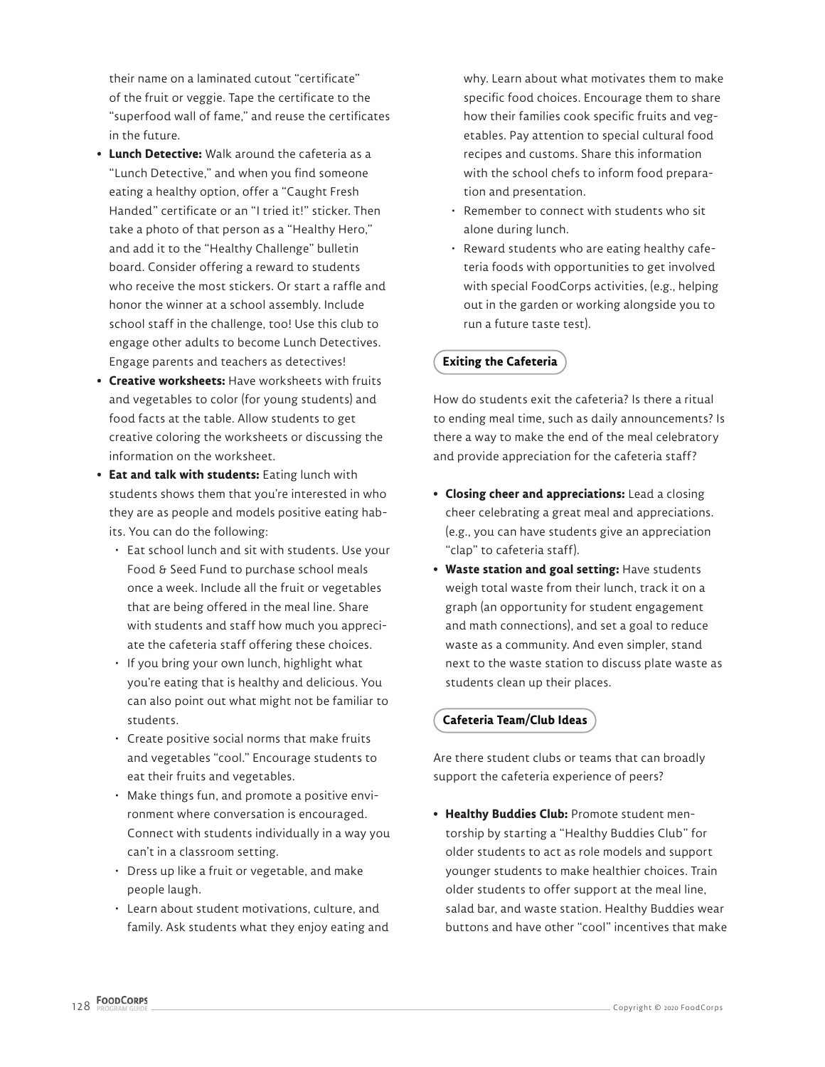their name on a laminated cutout "certificate" of the fruit or veggie. Tape the certificate to the "superfood wall of fame," and reuse the certificates in the future.

- **Lunch Detective:** Walk around the cafeteria as a "Lunch Detective," and when you find someone eating a healthy option, offer a "Caught Fresh Handed" certificate or an "I tried it!" sticker. Then take a photo of that person as a "Healthy Hero," and add it to the "Healthy Challenge" bulletin board. Consider offering a reward to students who receive the most stickers. Or start a raffle and honor the winner at a school assembly. Include school staff in the challenge, too! Use this club to engage other adults to become Lunch Detectives. Engage parents and teachers as detectives!
- **Creative worksheets:** Have worksheets with fruits and vegetables to color (for young students) and food facts at the table. Allow students to get creative coloring the worksheets or discussing the information on the worksheet.
- **Eat and talk with students:** Eating lunch with students shows them that you're interested in who they are as people and models positive eating habits. You can do the following:
	- Eat school lunch and sit with students. Use your Food & Seed Fund to purchase school meals once a week. Include all the fruit or vegetables that are being offered in the meal line. Share with students and staff how much you appreciate the cafeteria staff offering these choices.
	- If you bring your own lunch, highlight what you're eating that is healthy and delicious. You can also point out what might not be familiar to students.
	- Create positive social norms that make fruits and vegetables "cool." Encourage students to eat their fruits and vegetables.
	- Make things fun, and promote a positive environment where conversation is encouraged. Connect with students individually in a way you can't in a classroom setting.
	- Dress up like a fruit or vegetable, and make people laugh.
	- Learn about student motivations, culture, and family. Ask students what they enjoy eating and

why. Learn about what motivates them to make specific food choices. Encourage them to share how their families cook specific fruits and vegetables. Pay attention to special cultural food recipes and customs. Share this information with the school chefs to inform food preparation and presentation.

- Remember to connect with students who sit alone during lunch.
- Reward students who are eating healthy cafeteria foods with opportunities to get involved with special FoodCorps activities, (e.g., helping out in the garden or working alongside you to run a future taste test).

# **Exiting the Cafeteria**

How do students exit the cafeteria? Is there a ritual to ending meal time, such as daily announcements? Is there a way to make the end of the meal celebratory and provide appreciation for the cafeteria staff?

- **Closing cheer and appreciations:** Lead a closing cheer celebrating a great meal and appreciations. (e.g., you can have students give an appreciation "clap" to cafeteria staff).
- **Waste station and goal setting:** Have students weigh total waste from their lunch, track it on a graph (an opportunity for student engagement and math connections), and set a goal to reduce waste as a community. And even simpler, stand next to the waste station to discuss plate waste as students clean up their places.

## **Cafeteria Team/Club Ideas**

Are there student clubs or teams that can broadly support the cafeteria experience of peers?

**• Healthy Buddies Club:** Promote student mentorship by starting a "Healthy Buddies Club" for older students to act as role models and support younger students to make healthier choices. Train older students to offer support at the meal line, salad bar, and waste station. Healthy Buddies wear buttons and have other "cool" incentives that make